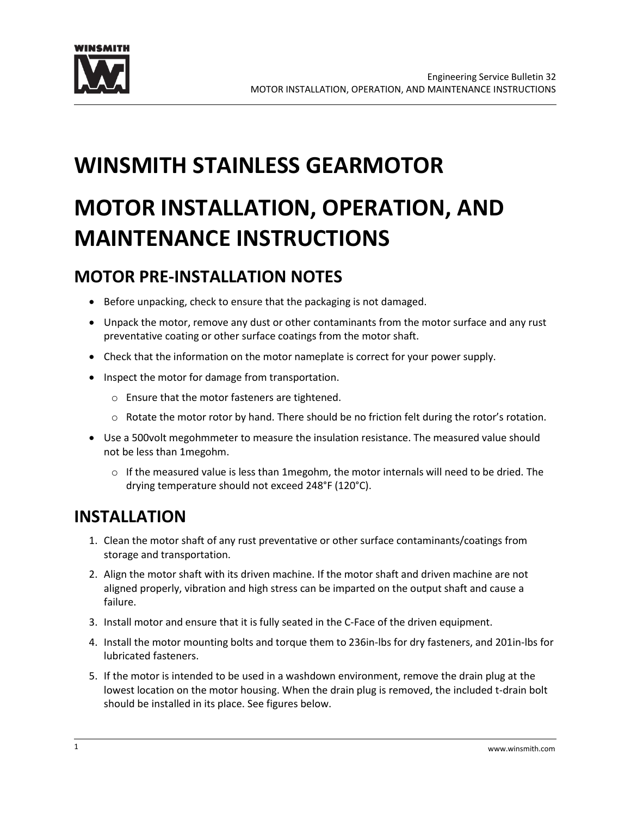

# **WINSMITH STAINLESS GEARMOTOR**

# **MOTOR INSTALLATION, OPERATION, AND MAINTENANCE INSTRUCTIONS**

# **MOTOR PRE-INSTALLATION NOTES**

- Before unpacking, check to ensure that the packaging is not damaged.
- Unpack the motor, remove any dust or other contaminants from the motor surface and any rust preventative coating or other surface coatings from the motor shaft.
- Check that the information on the motor nameplate is correct for your power supply.
- Inspect the motor for damage from transportation.
	- o Ensure that the motor fasteners are tightened.
	- $\circ$  Rotate the motor rotor by hand. There should be no friction felt during the rotor's rotation.
- Use a 500volt megohmmeter to measure the insulation resistance. The measured value should not be less than 1megohm.
	- $\circ$  If the measured value is less than 1 megohm, the motor internals will need to be dried. The drying temperature should not exceed 248°F (120°C).

# **INSTALLATION**

- 1. Clean the motor shaft of any rust preventative or other surface contaminants/coatings from storage and transportation.
- 2. Align the motor shaft with its driven machine. If the motor shaft and driven machine are not aligned properly, vibration and high stress can be imparted on the output shaft and cause a failure.
- 3. Install motor and ensure that it is fully seated in the C-Face of the driven equipment.
- 4. Install the motor mounting bolts and torque them to 236in-lbs for dry fasteners, and 201in-lbs for lubricated fasteners.
- 5. If the motor is intended to be used in a washdown environment, remove the drain plug at the lowest location on the motor housing. When the drain plug is removed, the included t-drain bolt should be installed in its place. See figures below.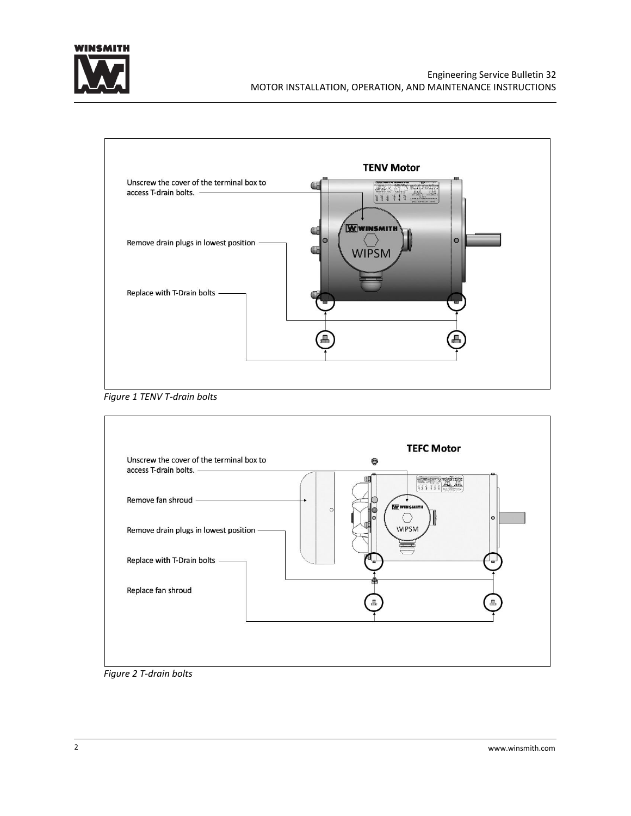



*Figure 1 TENV T-drain bolts*



*Figure 2 T-drain bolts*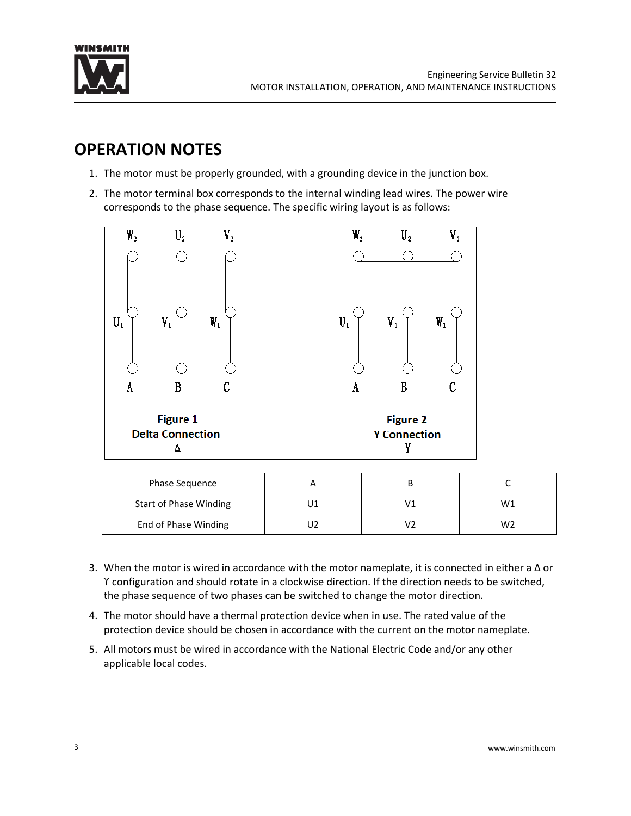![](_page_2_Picture_0.jpeg)

# **OPERATION NOTES**

- 1. The motor must be properly grounded, with a grounding device in the junction box.
- 2. The motor terminal box corresponds to the internal winding lead wires. The power wire corresponds to the phase sequence. The specific wiring layout is as follows:

![](_page_2_Figure_5.jpeg)

| <b>Phase Sequence</b>         |  |    |
|-------------------------------|--|----|
| <b>Start of Phase Winding</b> |  | W1 |
| End of Phase Winding          |  | W2 |

- 3. When the motor is wired in accordance with the motor nameplate, it is connected in either a Δ or ϒ configuration and should rotate in a clockwise direction. If the direction needs to be switched, the phase sequence of two phases can be switched to change the motor direction.
- 4. The motor should have a thermal protection device when in use. The rated value of the protection device should be chosen in accordance with the current on the motor nameplate.
- 5. All motors must be wired in accordance with the National Electric Code and/or any other applicable local codes.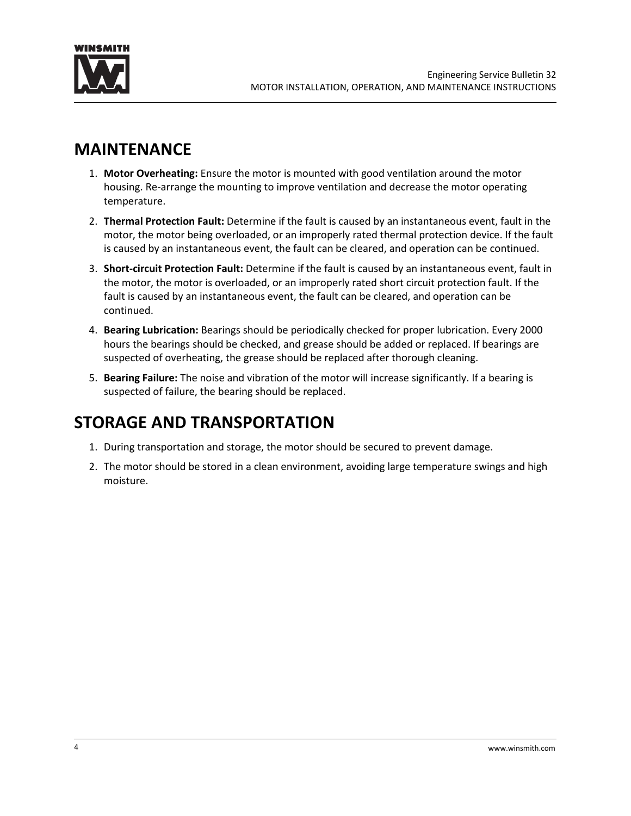![](_page_3_Picture_0.jpeg)

# **MAINTENANCE**

- 1. **Motor Overheating:** Ensure the motor is mounted with good ventilation around the motor housing. Re-arrange the mounting to improve ventilation and decrease the motor operating temperature.
- 2. **Thermal Protection Fault:** Determine if the fault is caused by an instantaneous event, fault in the motor, the motor being overloaded, or an improperly rated thermal protection device. If the fault is caused by an instantaneous event, the fault can be cleared, and operation can be continued.
- 3. **Short-circuit Protection Fault:** Determine if the fault is caused by an instantaneous event, fault in the motor, the motor is overloaded, or an improperly rated short circuit protection fault. If the fault is caused by an instantaneous event, the fault can be cleared, and operation can be continued.
- 4. **Bearing Lubrication:** Bearings should be periodically checked for proper lubrication. Every 2000 hours the bearings should be checked, and grease should be added or replaced. If bearings are suspected of overheating, the grease should be replaced after thorough cleaning.
- 5. **Bearing Failure:** The noise and vibration of the motor will increase significantly. If a bearing is suspected of failure, the bearing should be replaced.

# **STORAGE AND TRANSPORTATION**

- 1. During transportation and storage, the motor should be secured to prevent damage.
- 2. The motor should be stored in a clean environment, avoiding large temperature swings and high moisture.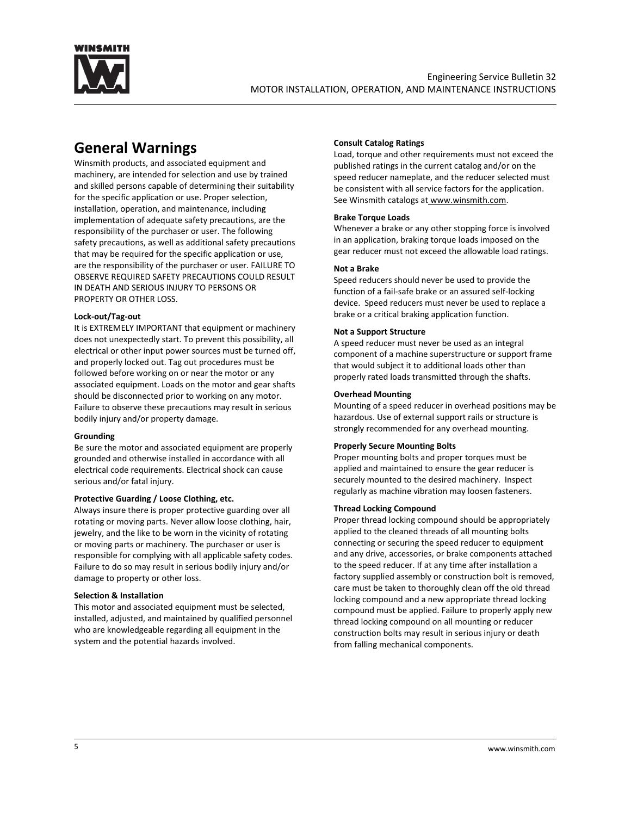![](_page_4_Picture_0.jpeg)

# **General Warnings**

Winsmith products, and associated equipment and machinery, are intended for selection and use by trained and skilled persons capable of determining their suitability for the specific application or use. Proper selection, installation, operation, and maintenance, including implementation of adequate safety precautions, are the responsibility of the purchaser or user. The following safety precautions, as well as additional safety precautions that may be required for the specific application or use, are the responsibility of the purchaser or user. FAILURE TO OBSERVE REQUIRED SAFETY PRECAUTIONS COULD RESULT IN DEATH AND SERIOUS INJURY TO PERSONS OR PROPERTY OR OTHER LOSS.

# **Lock-out/Tag-out**

It is EXTREMELY IMPORTANT that equipment or machinery does not unexpectedly start. To prevent this possibility, all electrical or other input power sources must be turned off, and properly locked out. Tag out procedures must be followed before working on or near the motor or any associated equipment. Loads on the motor and gear shafts should be disconnected prior to working on any motor. Failure to observe these precautions may result in serious bodily injury and/or property damage.

### **Grounding**

Be sure the motor and associated equipment are properly grounded and otherwise installed in accordance with all electrical code requirements. Electrical shock can cause serious and/or fatal injury.

# **Protective Guarding / Loose Clothing, etc.**

Always insure there is proper protective guarding over all rotating or moving parts. Never allow loose clothing, hair, jewelry, and the like to be worn in the vicinity of rotating or moving parts or machinery. The purchaser or user is responsible for complying with all applicable safety codes. Failure to do so may result in serious bodily injury and/or damage to property or other loss.

### **Selection & Installation**

This motor and associated equipment must be selected, installed, adjusted, and maintained by qualified personnel who are knowledgeable regarding all equipment in the system and the potential hazards involved.

# **Consult Catalog Ratings**

Load, torque and other requirements must not exceed the published ratings in the current catalog and/or on the speed reducer nameplate, and the reducer selected must be consistent with all service factors for the application. See Winsmith catalogs at [www.winsmith.com.](https://www.winsmith.com/support/product-literature/)

# **Brake Torque Loads**

Whenever a brake or any other stopping force is involved in an application, braking torque loads imposed on the gear reducer must not exceed the allowable load ratings.

# **Not a Brake**

Speed reducers should never be used to provide the function of a fail-safe brake or an assured self-locking device. Speed reducers must never be used to replace a brake or a critical braking application function.

# **Not a Support Structure**

A speed reducer must never be used as an integral component of a machine superstructure or support frame that would subject it to additional loads other than properly rated loads transmitted through the shafts.

# **Overhead Mounting**

Mounting of a speed reducer in overhead positions may be hazardous. Use of external support rails or structure is strongly recommended for any overhead mounting.

### **Properly Secure Mounting Bolts**

Proper mounting bolts and proper torques must be applied and maintained to ensure the gear reducer is securely mounted to the desired machinery. Inspect regularly as machine vibration may loosen fasteners.

# **Thread Locking Compound**

Proper thread locking compound should be appropriately applied to the cleaned threads of all mounting bolts connecting or securing the speed reducer to equipment and any drive, accessories, or brake components attached to the speed reducer. If at any time after installation a factory supplied assembly or construction bolt is removed, care must be taken to thoroughly clean off the old thread locking compound and a new appropriate thread locking compound must be applied. Failure to properly apply new thread locking compound on all mounting or reducer construction bolts may result in serious injury or death from falling mechanical components.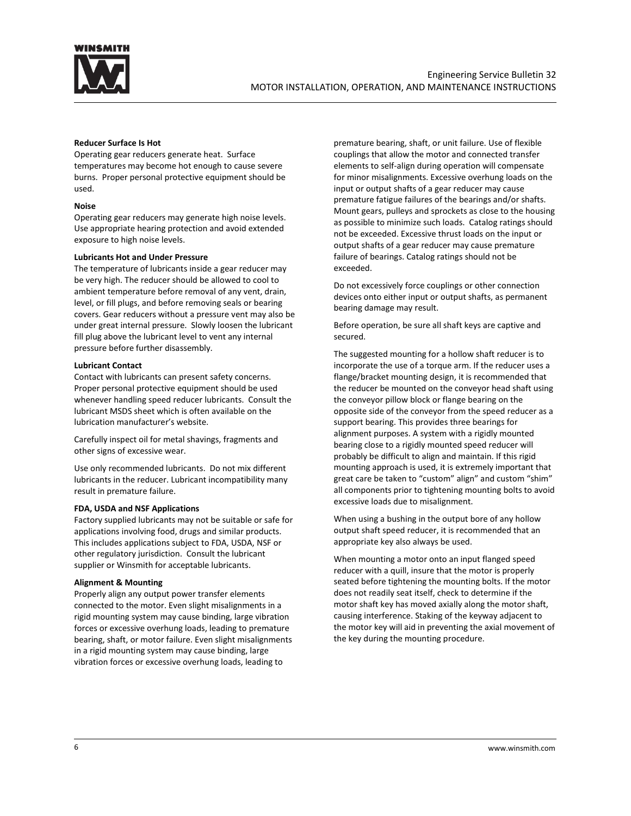![](_page_5_Picture_0.jpeg)

#### **Reducer Surface Is Hot**

Operating gear reducers generate heat. Surface temperatures may become hot enough to cause severe burns. Proper personal protective equipment should be used.

#### **Noise**

Operating gear reducers may generate high noise levels. Use appropriate hearing protection and avoid extended exposure to high noise levels.

#### **Lubricants Hot and Under Pressure**

The temperature of lubricants inside a gear reducer may be very high. The reducer should be allowed to cool to ambient temperature before removal of any vent, drain, level, or fill plugs, and before removing seals or bearing covers. Gear reducers without a pressure vent may also be under great internal pressure. Slowly loosen the lubricant fill plug above the lubricant level to vent any internal pressure before further disassembly.

#### **Lubricant Contact**

Contact with lubricants can present safety concerns. Proper personal protective equipment should be used whenever handling speed reducer lubricants. Consult the lubricant MSDS sheet which is often available on the lubrication manufacturer's website.

Carefully inspect oil for metal shavings, fragments and other signs of excessive wear.

Use only recommended lubricants. Do not mix different lubricants in the reducer. Lubricant incompatibility many result in premature failure.

### **FDA, USDA and NSF Applications**

Factory supplied lubricants may not be suitable or safe for applications involving food, drugs and similar products. This includes applications subject to FDA, USDA, NSF or other regulatory jurisdiction. Consult the lubricant supplier or Winsmith for acceptable lubricants.

#### **Alignment & Mounting**

Properly align any output power transfer elements connected to the motor. Even slight misalignments in a rigid mounting system may cause binding, large vibration forces or excessive overhung loads, leading to premature bearing, shaft, or motor failure. Even slight misalignments in a rigid mounting system may cause binding, large vibration forces or excessive overhung loads, leading to

premature bearing, shaft, or unit failure. Use of flexible couplings that allow the motor and connected transfer elements to self-align during operation will compensate for minor misalignments. Excessive overhung loads on the input or output shafts of a gear reducer may cause premature fatigue failures of the bearings and/or shafts. Mount gears, pulleys and sprockets as close to the housing as possible to minimize such loads. Catalog ratings should not be exceeded. Excessive thrust loads on the input or output shafts of a gear reducer may cause premature failure of bearings. Catalog ratings should not be exceeded.

Do not excessively force couplings or other connection devices onto either input or output shafts, as permanent bearing damage may result.

Before operation, be sure all shaft keys are captive and secured.

The suggested mounting for a hollow shaft reducer is to incorporate the use of a torque arm. If the reducer uses a flange/bracket mounting design, it is recommended that the reducer be mounted on the conveyor head shaft using the conveyor pillow block or flange bearing on the opposite side of the conveyor from the speed reducer as a support bearing. This provides three bearings for alignment purposes. A system with a rigidly mounted bearing close to a rigidly mounted speed reducer will probably be difficult to align and maintain. If this rigid mounting approach is used, it is extremely important that great care be taken to "custom" align" and custom "shim" all components prior to tightening mounting bolts to avoid excessive loads due to misalignment.

When using a bushing in the output bore of any hollow output shaft speed reducer, it is recommended that an appropriate key also always be used.

When mounting a motor onto an input flanged speed reducer with a quill, insure that the motor is properly seated before tightening the mounting bolts. If the motor does not readily seat itself, check to determine if the motor shaft key has moved axially along the motor shaft, causing interference. Staking of the keyway adjacent to the motor key will aid in preventing the axial movement of the key during the mounting procedure.